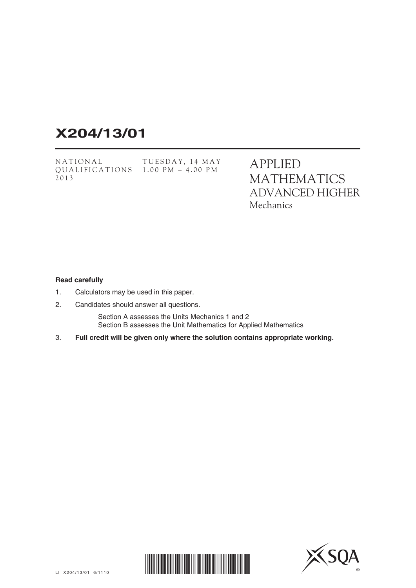# **X204/13/01**

NATIONAL QUALIFICATIONS 1.00 PM – 4.00 PM2013 TUESDAY, 14 MAY APPLIED MATHEMATICS ADVANCED HIGHER **Mechanics** 

### **Read carefully**

- 1. Calculators may be used in this paper.
- 2. Candidates should answer all questions.

 Section A assesses the Units Mechanics 1 and 2 Section B assesses the Unit Mathematics for Applied Mathematics

3. **Full credit will be given only where the solution contains appropriate working.**



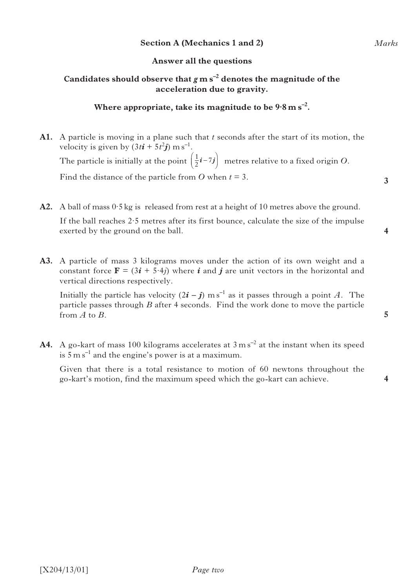# **Section A (Mechanics 1 and 2)**

# **Answer all the questions**

# Candidates should observe that  $g$  m s<sup>-2</sup> denotes the magnitude of the **acceleration due to gravity.**

# Where appropriate, take its magnitude to be  $9.8 \text{ m s}^{-2}$ .

- **A1.** A particle is moving in a plane such that *t* seconds after the start of its motion, the velocity is given by  $(3t\mathbf{i} + 5t^2\mathbf{j})$  m s<sup>-1</sup>. The particle is initially at the point  $\left(\frac{1}{2}i - 7j\right)$  metres relative to a fixed origin *O*. Find the distance of the particle from *O* when  $t = 3$ .
- **A2.** A ball of mass 0·5 kg is released from rest at a height of 10 metres above the ground. If the ball reaches 2·5 metres after its first bounce, calculate the size of the impulse exerted by the ground on the ball.
- **A3.** A particle of mass 3 kilograms moves under the action of its own weight and a constant force  $\mathbf{F} = (3\mathbf{i} + 5.4\mathbf{j})$  where *i* and *j* are unit vectors in the horizontal and vertical directions respectively.

Initially the particle has velocity  $(2i - j)$  m s<sup>-1</sup> as it passes through a point *A*. The particle passes through *B* after 4 seconds. Find the work done to move the particle from *A* to *B*.

A4. A go-kart of mass 100 kilograms accelerates at  $3 \text{ m s}^{-2}$  at the instant when its speed is  $5 \text{ m s}^{-1}$  and the engine's power is at a maximum.

 Given that there is a total resistance to motion of 60 newtons throughout the go-kart's motion, find the maximum speed which the go-kart can achieve.

**5**

*Marks*

**3**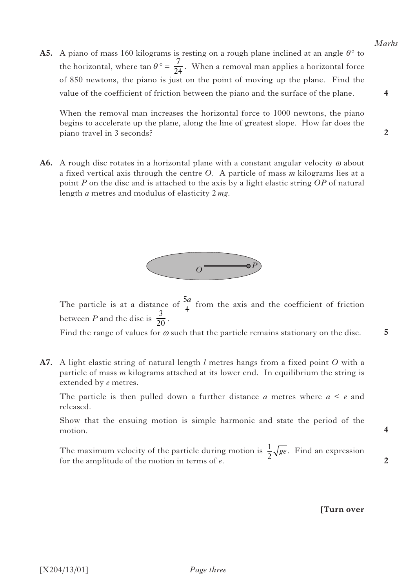**A5.** A piano of mass 160 kilograms is resting on a rough plane inclined at an angle  $\theta$ <sup>°</sup> to the horizontal, where  $\tan \theta^\circ = \frac{7}{24}$ . When a removal man applies a horizontal force of 850 newtons, the piano is just on the point of moving up the plane. Find the value of the coefficient of friction between the piano and the surface of the plane.

 When the removal man increases the horizontal force to 1000 newtons, the piano begins to accelerate up the plane, along the line of greatest slope. How far does the piano travel in 3 seconds?

**A6.** A rough disc rotates in a horizontal plane with a constant angular velocity  $\omega$  about a fixed vertical axis through the centre *O*. A particle of mass *m* kilograms lies at a point *P* on the disc and is attached to the axis by a light elastic string *OP* of natural length *a* metres and modulus of elasticity 2 *mg*.



Find the range of values for  $\omega$  such that the particle remains stationary on the disc.

**A7.** A light elastic string of natural length *l* metres hangs from a fixed point *O* with a particle of mass *m* kilograms attached at its lower end. In equilibrium the string is extended by *e* metres.

 The particle is then pulled down a further distance *a* metres where *a* < *e* and released.

 Show that the ensuing motion is simple harmonic and state the period of the motion.

The maximum velocity of the particle during motion is  $\frac{1}{2}\sqrt{ge}$ . Find an expression for the emplitude of the motion in terms of e. for the amplitude of the motion in terms of *e*.

#### **[Turn over**



**2**

**4**

**5**

**4**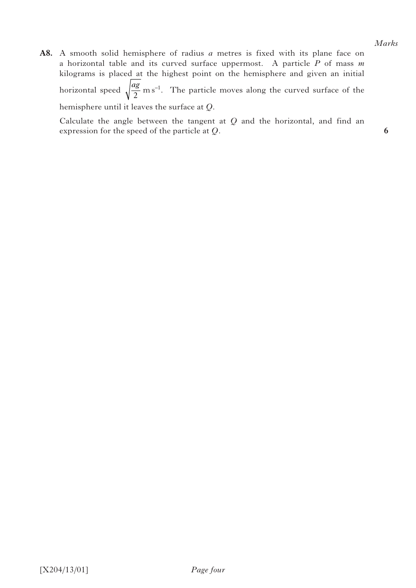**A8.** A smooth solid hemisphere of radius *a* metres is fixed with its plane face on a horizontal table and its curved surface uppermost. A particle *P* of mass *m* kilograms is placed at the highest point on the hemisphere and given an initial horizontal speed  $\sqrt{\frac{ag}{2}}$  m s<sup>-1</sup>. The particle moves along the curved surface of the

hemisphere until it leaves the surface at *Q*.

 Calculate the angle between the tangent at *Q* and the horizontal, and find an expression for the speed of the particle at *Q.*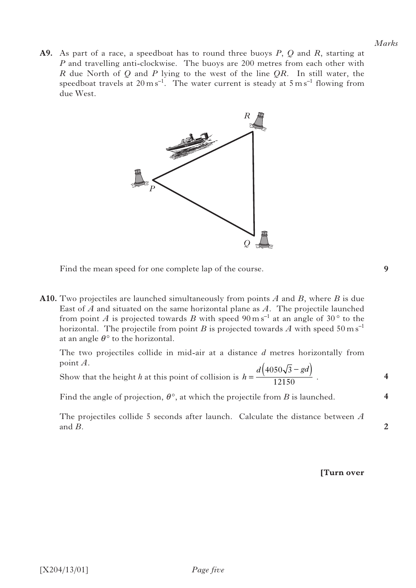**A9.** As part of a race, a speedboat has to round three buoys *P*, *Q* and *R*, starting at *P* and travelling anti-clockwise. The buoys are 200 metres from each other with *R* due North of *Q* and *P* lying to the west of the line *QR*. In still water, the speedboat travels at  $20 \text{ m s}^{-1}$ . The water current is steady at  $5 \text{ m s}^{-1}$  flowing from due West.



Find the mean speed for one complete lap of the course.

**A10.** Two projectiles are launched simultaneously from points *A* and *B*, where *B* is due East of *A* and situated on the same horizontal plane as *A*. The projectile launched from point *A* is projected towards *B* with speed  $90 \text{ m s}^{-1}$  at an angle of  $30^{\circ}$  to the horizontal. The projectile from point *B* is projected towards *A* with speed  $50 \text{ m s}^{-1}$ at an angle  $\theta$ <sup>o</sup> to the horizontal.

 The two projectiles collide in mid-air at a distance *d* metres horizontally from point *A*.

Show that the height *h* at this point of collision is  $h = \frac{d(4050\sqrt{3} - gd)}{12150}$ . −

Find the angle of projection,  $\theta^{\circ}$ , at which the projectile from *B* is launched.

 The projectiles collide 5 seconds after launch. Calculate the distance between *A* and *B*.

**9**

**4**

**4**

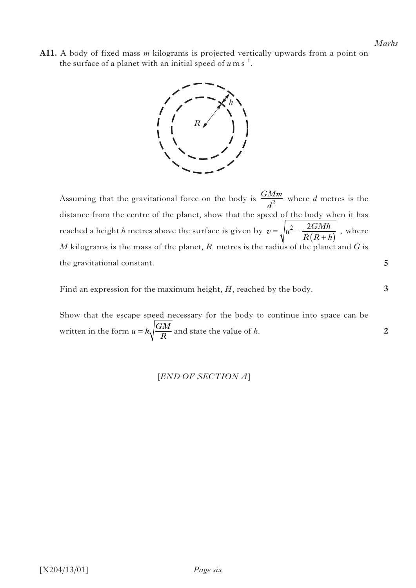**5**

**3**

**2**

**A11.** A body of fixed mass *m* kilograms is projected vertically upwards from a point on the surface of a planet with an initial speed of  $u \text{ m s}^{-1}$ .



Assuming that the gravitational force on the body is  $\frac{GMm}{d^2}$  where *d* metres is the distance from the centre of the planet, show that the speed of the body when it has reached a height *h* metres above the surface is given by  $v = \sqrt{u^2 - \frac{2GMh}{R(R+h)}}$ , where *M* kilograms is the mass of the planet, *R* metres is the radius of the planet and *G* is the gravitational constant.

Find an expression for the maximum height, *H*, reached by the body.

 Show that the escape speed necessary for the body to continue into space can be written in the form  $u = k \sqrt{\frac{GM}{R}}$  and state the value of *k*.

[*END OF SECTION A*]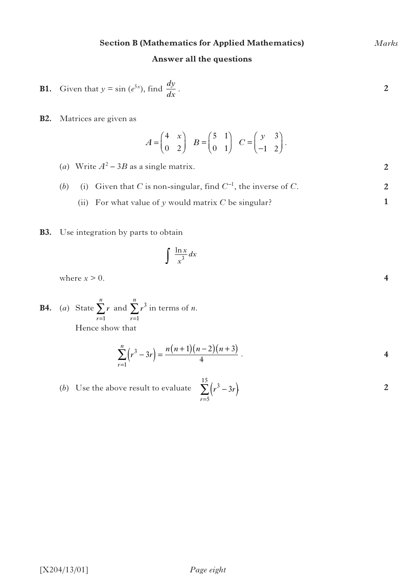# **Section B (Mathematics for Applied Mathematics)**

# **Answer all the questions**

**B1.** Given that 
$$
y = \sin(e^{5x})
$$
, find  $\frac{dy}{dx}$ .

**B2.** Matrices are given as

$$
A = \begin{pmatrix} 4 & x \\ 0 & 2 \end{pmatrix} \quad B = \begin{pmatrix} 5 & 1 \\ 0 & 1 \end{pmatrix} \quad C = \begin{pmatrix} y & 3 \\ -1 & 2 \end{pmatrix}.
$$

- (*a*) Write  $A^2 3B$  as a single matrix. (*b*) (i) Given that *C* is non-singular, find  $C^{-1}$ , the inverse of *C*. **2 2**
	- (ii) For what value of  $y$  would matrix  $C$  be singular?
- **B3.** Use integration by parts to obtain

$$
\int \frac{\ln x}{x^3} dx
$$

where  $x > 0$ .

**B4.** (*a*) State  $\sum_{r}$  and  $\sum_{r}$  in terms of *n*. Hence show that *r n* = ∑ 1 *r r*  $\sum_{n=1}^n$  $=1$ ∑

$$
\sum_{r=1}^{n} (r^3 - 3r) = \frac{n(n+1)(n-2)(n+3)}{4}.
$$

(b) Use the above result to evaluate 
$$
\sum_{r=5}^{15} (r^3 - 3r)
$$

*Marks*

**2**

**4**